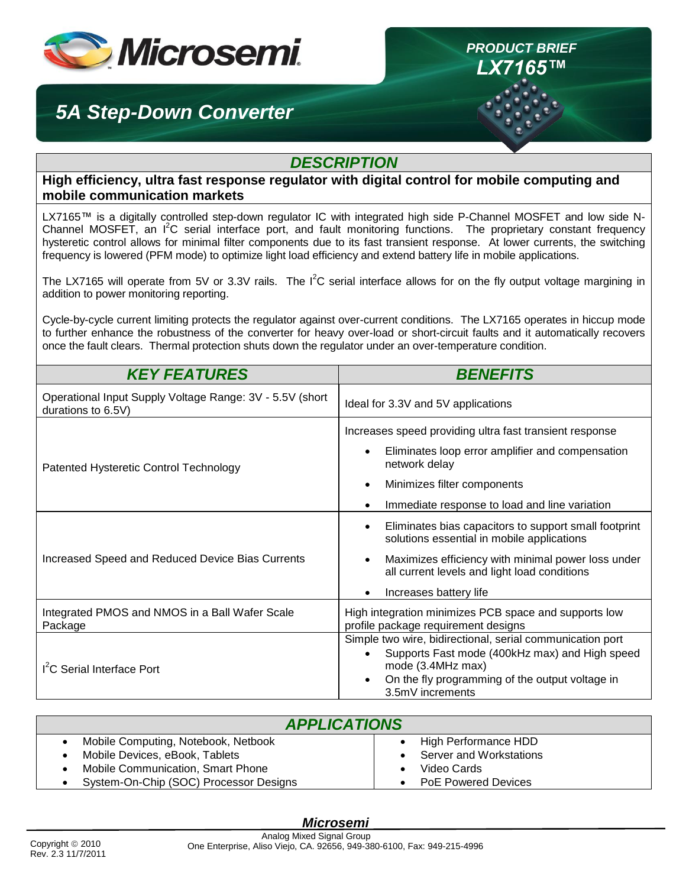

## *5A Step-Down Converter*

## *DESCRIPTION*

*PRODUCT BRIEF LX7165™*

**High efficiency, ultra fast response regulator with digital control for mobile computing and mobile communication markets**

LX7165™ is a digitally controlled step-down regulator IC with integrated high side P-Channel MOSFET and low side N-Channel MOSFET, an I<sup>2</sup>C serial interface port, and fault monitoring functions. The proprietary constant frequency hysteretic control allows for minimal filter components due to its fast transient response. At lower currents, the switching frequency is lowered (PFM mode) to optimize light load efficiency and extend battery life in mobile applications.

The LX7165 will operate from 5V or 3.3V rails. The  $I^2C$  serial interface allows for on the fly output voltage margining in addition to power monitoring reporting.

Cycle-by-cycle current limiting protects the regulator against over-current conditions. The LX7165 operates in hiccup mode to further enhance the robustness of the converter for heavy over-load or short-circuit faults and it automatically recovers once the fault clears. Thermal protection shuts down the regulator under an over-temperature condition.

| <b>KEY FEATURES</b>                                                            | <b>BENEFITS</b>                                                                                                                                                                                                                                                                      |  |
|--------------------------------------------------------------------------------|--------------------------------------------------------------------------------------------------------------------------------------------------------------------------------------------------------------------------------------------------------------------------------------|--|
| Operational Input Supply Voltage Range: 3V - 5.5V (short<br>durations to 6.5V) | Ideal for 3.3V and 5V applications                                                                                                                                                                                                                                                   |  |
| Patented Hysteretic Control Technology                                         | Increases speed providing ultra fast transient response<br>Eliminates loop error amplifier and compensation<br>network delay<br>Minimizes filter components                                                                                                                          |  |
| Increased Speed and Reduced Device Bias Currents                               | Immediate response to load and line variation<br>Eliminates bias capacitors to support small footprint<br>solutions essential in mobile applications<br>Maximizes efficiency with minimal power loss under<br>all current levels and light load conditions<br>Increases battery life |  |
| Integrated PMOS and NMOS in a Ball Wafer Scale<br>Package                      | High integration minimizes PCB space and supports low<br>profile package requirement designs                                                                                                                                                                                         |  |
| I <sup>2</sup> C Serial Interface Port                                         | Simple two wire, bidirectional, serial communication port<br>Supports Fast mode (400kHz max) and High speed<br>mode (3.4MHz max)<br>On the fly programming of the output voltage in<br>3.5mV increments                                                                              |  |

| <b>APPLICATIONS</b> |                                          |  |                            |
|---------------------|------------------------------------------|--|----------------------------|
|                     | Mobile Computing, Notebook, Netbook      |  | High Performance HDD       |
|                     | Mobile Devices, eBook, Tablets           |  | Server and Workstations    |
|                     | <b>Mobile Communication, Smart Phone</b> |  | Video Cards                |
|                     | System-On-Chip (SOC) Processor Designs   |  | <b>PoE Powered Devices</b> |

### *Microsemi*